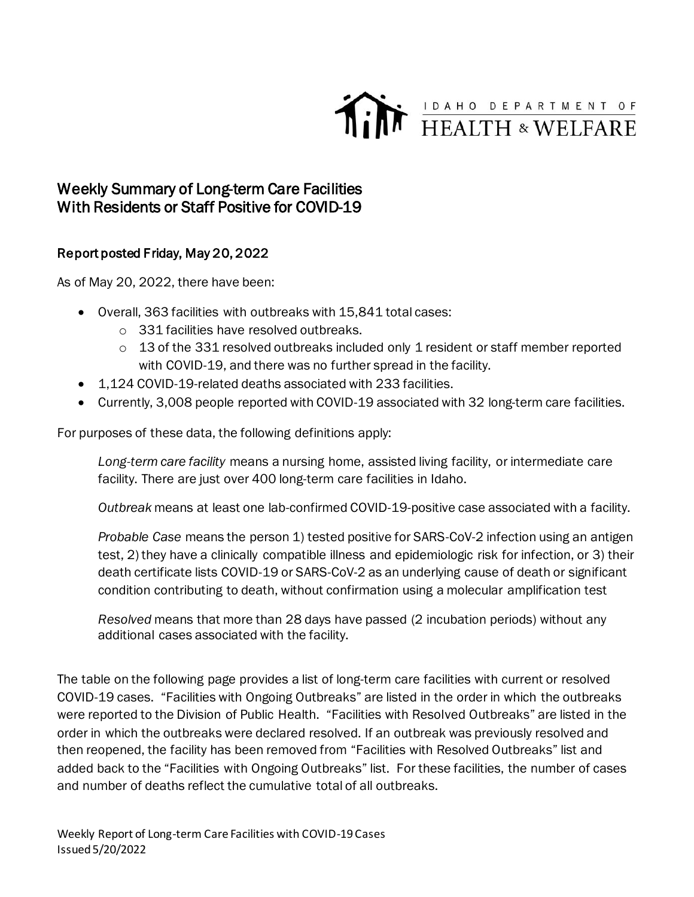

## Weekly Summary of Long-term Care Facilities With Residents or Staff Positive for COVID-19

## Report posted Friday, May 20, 2022

As of May 20, 2022, there have been:

- Overall, 363 facilities with outbreaks with 15,841 total cases:
	- o 331 facilities have resolved outbreaks.
	- $\circ$  13 of the 331 resolved outbreaks included only 1 resident or staff member reported with COVID-19, and there was no further spread in the facility.
- 1,124 COVID-19-related deaths associated with 233 facilities.
- Currently, 3,008 people reported with COVID-19 associated with 32 long-term care facilities.

For purposes of these data, the following definitions apply:

*Long-term care facility* means a nursing home, assisted living facility, or intermediate care facility. There are just over 400 long-term care facilities in Idaho.

*Outbreak* means at least one lab-confirmed COVID-19-positive case associated with a facility.

*Probable Case* means the person 1) tested positive for SARS-CoV-2 infection using an antigen test, 2) they have a clinically compatible illness and epidemiologic risk for infection, or 3) their death certificate lists COVID-19 or SARS-CoV-2 as an underlying cause of death or significant condition contributing to death, without confirmation using a molecular amplification test

*Resolved* means that more than 28 days have passed (2 incubation periods) without any additional cases associated with the facility.

The table on the following page provides a list of long-term care facilities with current or resolved COVID-19 cases. "Facilities with Ongoing Outbreaks" are listed in the order in which the outbreaks were reported to the Division of Public Health. "Facilities with Resolved Outbreaks" are listed in the order in which the outbreaks were declared resolved. If an outbreak was previously resolved and then reopened, the facility has been removed from "Facilities with Resolved Outbreaks" list and added back to the "Facilities with Ongoing Outbreaks" list. For these facilities, the number of cases and number of deaths reflect the cumulative total of all outbreaks.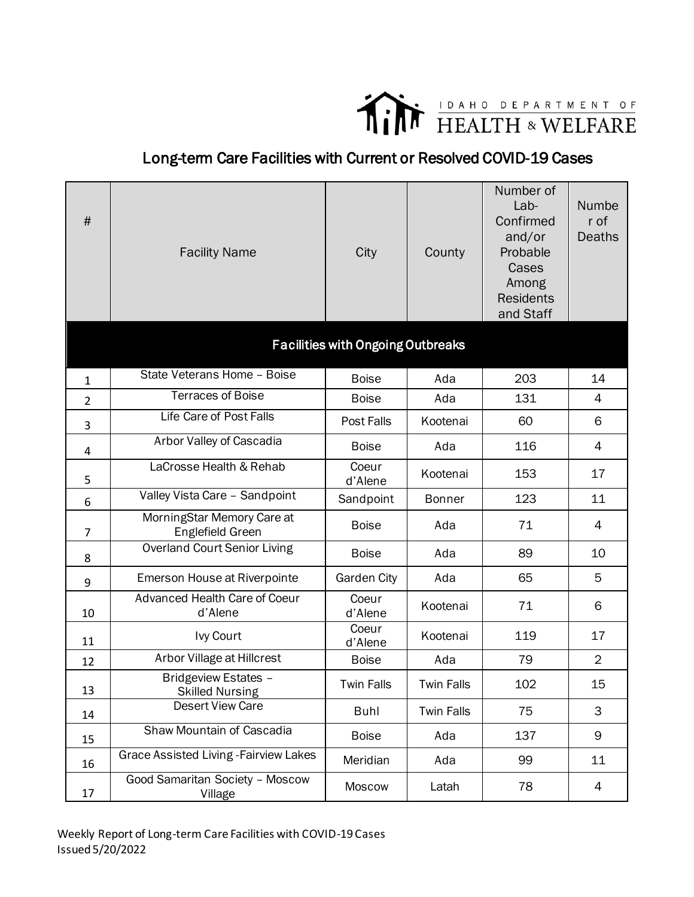

## Long-term Care Facilities with Current or Resolved COVID-19 Cases

| $\#$           | <b>Facility Name</b>                           | City                                     | County            | Number of<br>Lab-<br>Confirmed<br>and/or<br>Probable<br>Cases<br>Among<br><b>Residents</b><br>and Staff | Numbe<br>r of<br><b>Deaths</b> |
|----------------|------------------------------------------------|------------------------------------------|-------------------|---------------------------------------------------------------------------------------------------------|--------------------------------|
|                |                                                | <b>Facilities with Ongoing Outbreaks</b> |                   |                                                                                                         |                                |
| $\mathbf{1}$   | State Veterans Home - Boise                    | <b>Boise</b>                             | Ada               | 203                                                                                                     | 14                             |
| $\overline{2}$ | <b>Terraces of Boise</b>                       | <b>Boise</b>                             | Ada               | 131                                                                                                     | 4                              |
| 3              | Life Care of Post Falls                        | Post Falls                               | Kootenai          | 60                                                                                                      | 6                              |
| 4              | Arbor Valley of Cascadia                       | <b>Boise</b>                             | Ada               | 116                                                                                                     | 4                              |
| 5              | LaCrosse Health & Rehab                        | Coeur<br>d'Alene                         | Kootenai          | 153                                                                                                     | 17                             |
| 6              | Valley Vista Care - Sandpoint                  | Sandpoint                                | <b>Bonner</b>     | 123                                                                                                     | 11                             |
| $\overline{7}$ | MorningStar Memory Care at<br>Englefield Green | <b>Boise</b>                             | Ada               | 71                                                                                                      | 4                              |
| 8              | <b>Overland Court Senior Living</b>            | <b>Boise</b>                             | Ada               | 89                                                                                                      | 10                             |
| 9              | Emerson House at Riverpointe                   | <b>Garden City</b>                       | Ada               | 65                                                                                                      | 5                              |
| 10             | Advanced Health Care of Coeur<br>d'Alene       | Coeur<br>d'Alene                         | Kootenai          | 71                                                                                                      | 6                              |
| 11             | Ivy Court                                      | Coeur<br>d'Alene                         | Kootenai          | 119                                                                                                     | 17                             |
| 12             | Arbor Village at Hillcrest                     | <b>Boise</b>                             | Ada               | 79                                                                                                      | $\overline{2}$                 |
| 13             | Bridgeview Estates -<br><b>Skilled Nursing</b> | <b>Twin Falls</b>                        | <b>Twin Falls</b> | 102                                                                                                     | 15                             |
| 14             | Desert View Care                               | <b>Buhl</b>                              | <b>Twin Falls</b> | 75                                                                                                      | 3                              |
| 15             | Shaw Mountain of Cascadia                      | <b>Boise</b>                             | Ada               | 137                                                                                                     | 9                              |
| 16             | <b>Grace Assisted Living - Fairview Lakes</b>  | Meridian                                 | Ada               | 99                                                                                                      | 11                             |
| 17             | Good Samaritan Society - Moscow<br>Village     | Moscow                                   | Latah             | 78                                                                                                      | 4                              |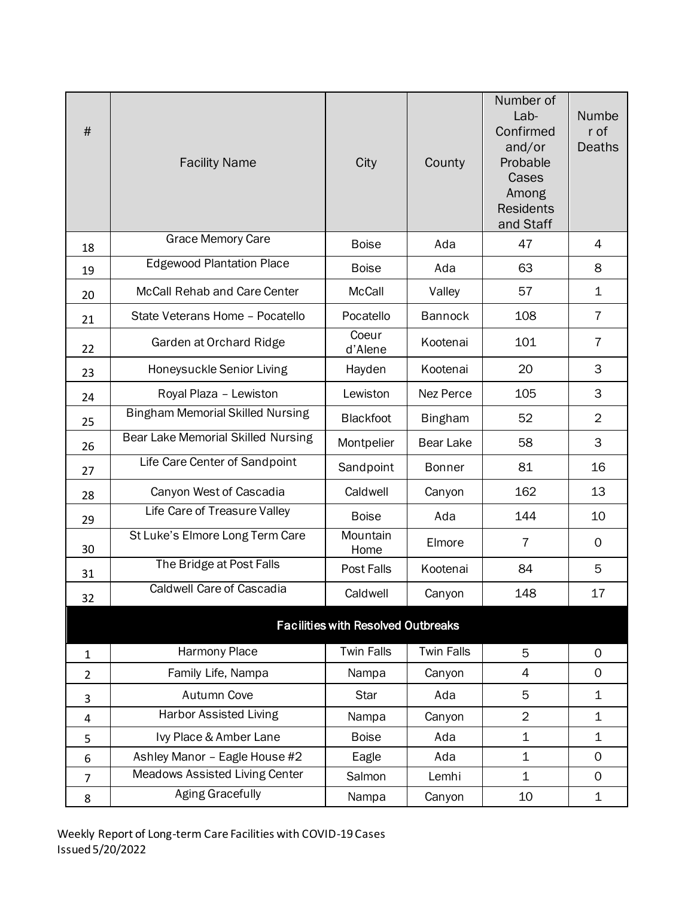| $\#$           | <b>Facility Name</b>                    | City                                      | County            | Number of<br>Lab-<br>Confirmed<br>and/or<br>Probable<br>Cases<br>Among<br><b>Residents</b><br>and Staff | Numbe<br>r of<br>Deaths |
|----------------|-----------------------------------------|-------------------------------------------|-------------------|---------------------------------------------------------------------------------------------------------|-------------------------|
| 18             | <b>Grace Memory Care</b>                | <b>Boise</b>                              | Ada               | 47                                                                                                      | $\overline{4}$          |
| 19             | <b>Edgewood Plantation Place</b>        | <b>Boise</b>                              | Ada               | 63                                                                                                      | 8                       |
| 20             | McCall Rehab and Care Center            | McCall                                    | Valley            | 57                                                                                                      | $\mathbf 1$             |
| 21             | State Veterans Home - Pocatello         | Pocatello                                 | <b>Bannock</b>    | 108                                                                                                     | $\overline{7}$          |
| 22             | Garden at Orchard Ridge                 | Coeur<br>d'Alene                          | Kootenai          | 101                                                                                                     | $\overline{7}$          |
| 23             | Honeysuckle Senior Living               | Hayden                                    | Kootenai          | 20                                                                                                      | 3                       |
| 24             | Royal Plaza - Lewiston                  | Lewiston                                  | Nez Perce         | 105                                                                                                     | 3                       |
| 25             | <b>Bingham Memorial Skilled Nursing</b> | <b>Blackfoot</b>                          | <b>Bingham</b>    | 52                                                                                                      | $\overline{2}$          |
| 26             | Bear Lake Memorial Skilled Nursing      | Montpelier                                | <b>Bear Lake</b>  | 58                                                                                                      | 3                       |
| 27             | Life Care Center of Sandpoint           | Sandpoint                                 | <b>Bonner</b>     | 81                                                                                                      | 16                      |
| 28             | Canyon West of Cascadia                 | Caldwell                                  | Canyon            | 162                                                                                                     | 13                      |
| 29             | Life Care of Treasure Valley            | <b>Boise</b>                              | Ada               | 144                                                                                                     | 10                      |
| 30             | St Luke's Elmore Long Term Care         | Mountain<br>Home                          | Elmore            | 7                                                                                                       | $\mathbf 0$             |
| 31             | The Bridge at Post Falls                | Post Falls                                | Kootenai          | 84                                                                                                      | 5                       |
| 32             | Caldwell Care of Cascadia               | Caldwell                                  | Canyon            | 148                                                                                                     | 17                      |
|                |                                         | <b>Facilities with Resolved Outbreaks</b> |                   |                                                                                                         |                         |
| $\mathbf{1}$   | Harmony Place                           | <b>Twin Falls</b>                         | <b>Twin Falls</b> | 5                                                                                                       | $\mathbf 0$             |
| $\overline{2}$ | Family Life, Nampa                      | Nampa                                     | Canyon            | 4                                                                                                       | 0                       |
| 3              | <b>Autumn Cove</b>                      | Star                                      | Ada               | 5                                                                                                       | $\mathbf 1$             |
| $\overline{4}$ | <b>Harbor Assisted Living</b>           | Nampa                                     | Canyon            | $\overline{2}$                                                                                          | $\mathbf 1$             |
| 5              | Ivy Place & Amber Lane                  | <b>Boise</b>                              | Ada               | 1                                                                                                       | $\mathbf 1$             |
| 6              | Ashley Manor - Eagle House #2           | Eagle                                     | Ada               | $\mathbf 1$                                                                                             | $\mathbf 0$             |
| $\overline{7}$ | <b>Meadows Assisted Living Center</b>   | Salmon                                    | Lemhi             | $\mathbf 1$                                                                                             | 0                       |
| 8              | <b>Aging Gracefully</b>                 | Nampa                                     | Canyon            | 10                                                                                                      | $\mathbf 1$             |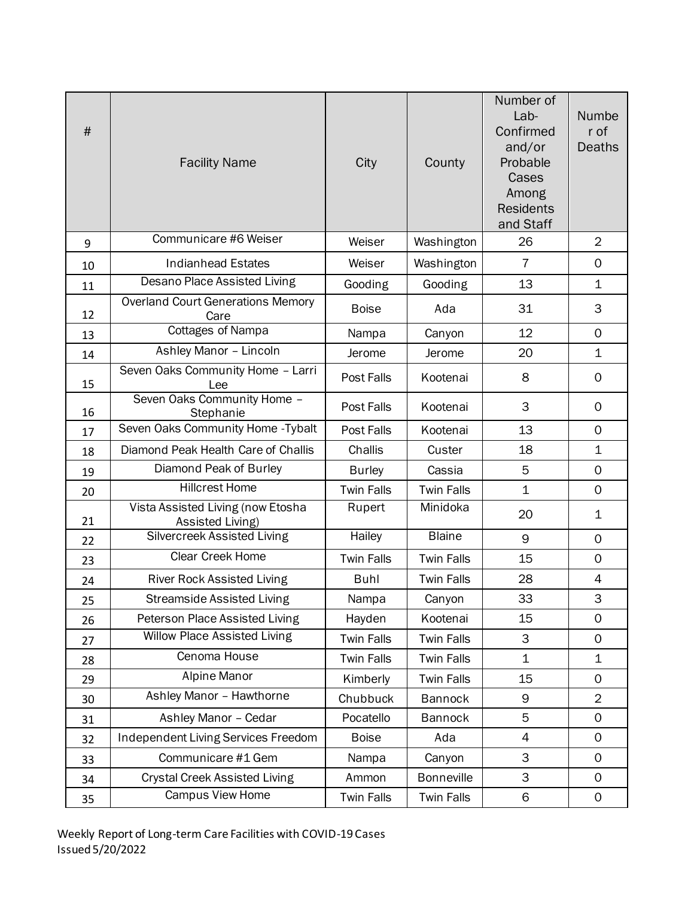| $\#$ | <b>Facility Name</b>                                  | City              | County            | Number of<br>Lab-<br>Confirmed<br>and/or<br>Probable<br>Cases<br>Among<br><b>Residents</b><br>and Staff | Numbe<br>r of<br>Deaths |
|------|-------------------------------------------------------|-------------------|-------------------|---------------------------------------------------------------------------------------------------------|-------------------------|
| 9    | Communicare #6 Weiser                                 | Weiser            | Washington        | 26                                                                                                      | $\overline{2}$          |
| 10   | <b>Indianhead Estates</b>                             | Weiser            | Washington        | $\overline{7}$                                                                                          | $\mathbf 0$             |
| 11   | Desano Place Assisted Living                          | Gooding           | Gooding           | 13                                                                                                      | $\mathbf 1$             |
| 12   | <b>Overland Court Generations Memory</b><br>Care      | <b>Boise</b>      | Ada               | 31                                                                                                      | 3                       |
| 13   | <b>Cottages of Nampa</b>                              | Nampa             | Canyon            | 12                                                                                                      | $\mathbf 0$             |
| 14   | Ashley Manor - Lincoln                                | Jerome            | Jerome            | 20                                                                                                      | $\mathbf 1$             |
| 15   | Seven Oaks Community Home - Larri<br>Lee              | Post Falls        | Kootenai          | 8                                                                                                       | $\mathsf{O}$            |
| 16   | Seven Oaks Community Home -<br>Stephanie              | Post Falls        | Kootenai          | 3                                                                                                       | $\mathbf 0$             |
| 17   | Seven Oaks Community Home - Tybalt                    | Post Falls        | Kootenai          | 13                                                                                                      | $\mathbf 0$             |
| 18   | Diamond Peak Health Care of Challis                   | Challis           | Custer            | 18                                                                                                      | $\mathbf 1$             |
| 19   | Diamond Peak of Burley                                | <b>Burley</b>     | Cassia            | 5                                                                                                       | $\mathbf 0$             |
| 20   | <b>Hillcrest Home</b>                                 | <b>Twin Falls</b> | <b>Twin Falls</b> | $\mathbf 1$                                                                                             | $\mathbf 0$             |
| 21   | Vista Assisted Living (now Etosha<br>Assisted Living) | Rupert            | Minidoka          | 20                                                                                                      | 1                       |
| 22   | <b>Silvercreek Assisted Living</b>                    | Hailey            | <b>Blaine</b>     | 9                                                                                                       | $\mathbf 0$             |
| 23   | Clear Creek Home                                      | <b>Twin Falls</b> | <b>Twin Falls</b> | 15                                                                                                      | $\mathbf 0$             |
| 24   | <b>River Rock Assisted Living</b>                     | <b>Buhl</b>       | <b>Twin Falls</b> | 28                                                                                                      | 4                       |
| 25   | <b>Streamside Assisted Living</b>                     | Nampa             | Canyon            | 33                                                                                                      | 3                       |
| 26   | Peterson Place Assisted Living                        | Hayden            | Kootenai          | 15                                                                                                      | 0                       |
| 27   | Willow Place Assisted Living                          | <b>Twin Falls</b> | <b>Twin Falls</b> | 3                                                                                                       | $\mathsf{O}$            |
| 28   | Cenoma House                                          | <b>Twin Falls</b> | <b>Twin Falls</b> | $\mathbf 1$                                                                                             | $\mathbf 1$             |
| 29   | Alpine Manor                                          | Kimberly          | <b>Twin Falls</b> | 15                                                                                                      | $\mathsf{O}$            |
| 30   | Ashley Manor - Hawthorne                              | Chubbuck          | <b>Bannock</b>    | 9                                                                                                       | $\overline{2}$          |
| 31   | Ashley Manor - Cedar                                  | Pocatello         | <b>Bannock</b>    | 5                                                                                                       | $\mathbf 0$             |
| 32   | Independent Living Services Freedom                   | <b>Boise</b>      | Ada               | $\overline{4}$                                                                                          | $\mathbf 0$             |
| 33   | Communicare #1 Gem                                    | Nampa             | Canyon            | 3                                                                                                       | $\mathsf{O}$            |
| 34   | <b>Crystal Creek Assisted Living</b>                  | Ammon             | <b>Bonneville</b> | 3                                                                                                       | $\mathbf 0$             |
| 35   | Campus View Home                                      | <b>Twin Falls</b> | <b>Twin Falls</b> | 6                                                                                                       | $\mathbf 0$             |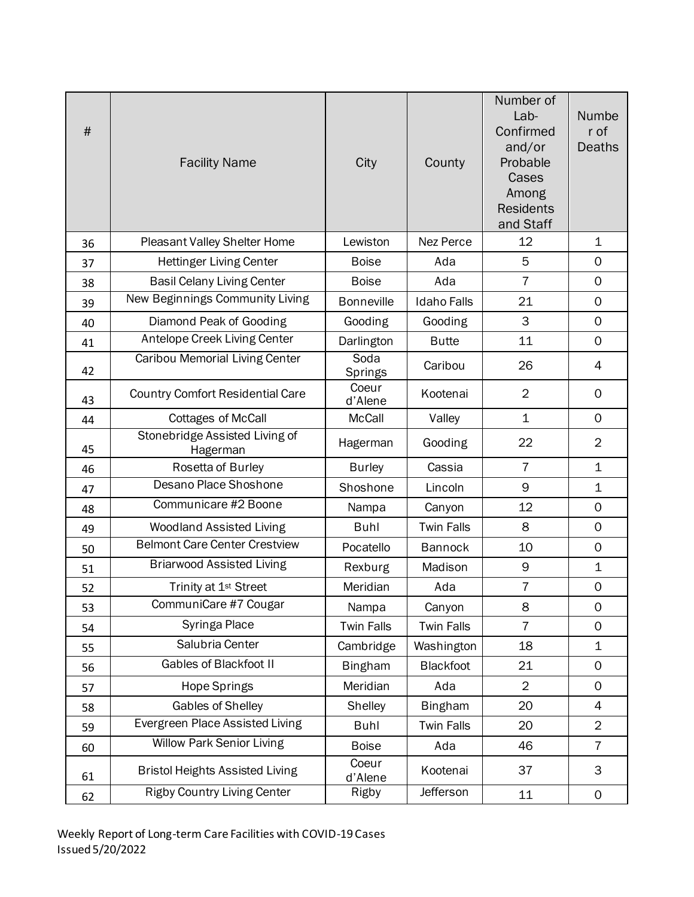| #  | <b>Facility Name</b>                       | City              | County             | Number of<br>Lab-<br>Confirmed<br>and/or<br>Probable<br>Cases<br>Among<br><b>Residents</b><br>and Staff | Numbe<br>r of<br><b>Deaths</b> |
|----|--------------------------------------------|-------------------|--------------------|---------------------------------------------------------------------------------------------------------|--------------------------------|
| 36 | Pleasant Valley Shelter Home               | Lewiston          | Nez Perce          | 12                                                                                                      | $\mathbf 1$                    |
| 37 | <b>Hettinger Living Center</b>             | <b>Boise</b>      | Ada                | 5                                                                                                       | $\mathbf 0$                    |
| 38 | <b>Basil Celany Living Center</b>          | <b>Boise</b>      | Ada                | $\overline{7}$                                                                                          | $\mathbf 0$                    |
| 39 | New Beginnings Community Living            | <b>Bonneville</b> | <b>Idaho Falls</b> | 21                                                                                                      | $\mathbf 0$                    |
| 40 | Diamond Peak of Gooding                    | Gooding           | Gooding            | 3                                                                                                       | $\mathbf 0$                    |
| 41 | Antelope Creek Living Center               | Darlington        | <b>Butte</b>       | 11                                                                                                      | $\mathbf 0$                    |
| 42 | <b>Caribou Memorial Living Center</b>      | Soda<br>Springs   | Caribou            | 26                                                                                                      | 4                              |
| 43 | <b>Country Comfort Residential Care</b>    | Coeur<br>d'Alene  | Kootenai           | $\overline{2}$                                                                                          | $\mathbf 0$                    |
| 44 | <b>Cottages of McCall</b>                  | <b>McCall</b>     | Valley             | $\mathbf{1}$                                                                                            | $\Omega$                       |
| 45 | Stonebridge Assisted Living of<br>Hagerman | Hagerman          | Gooding            | 22                                                                                                      | $\overline{2}$                 |
| 46 | Rosetta of Burley                          | <b>Burley</b>     | Cassia             | $\overline{7}$                                                                                          | $\mathbf 1$                    |
| 47 | Desano Place Shoshone                      | Shoshone          | Lincoln            | 9                                                                                                       | $\mathbf 1$                    |
| 48 | Communicare #2 Boone                       | Nampa             | Canyon             | 12                                                                                                      | $\mathbf 0$                    |
| 49 | <b>Woodland Assisted Living</b>            | <b>Buhl</b>       | <b>Twin Falls</b>  | 8                                                                                                       | $\mathbf 0$                    |
| 50 | <b>Belmont Care Center Crestview</b>       | Pocatello         | <b>Bannock</b>     | 10                                                                                                      | $\mathbf 0$                    |
| 51 | <b>Briarwood Assisted Living</b>           | Rexburg           | Madison            | 9                                                                                                       | $\mathbf 1$                    |
| 52 | Trinity at 1 <sup>st</sup> Street          | Meridian          | Ada                | $\overline{7}$                                                                                          | $\mathbf 0$                    |
| 53 | CommuniCare #7 Cougar                      | Nampa             | Canyon             | 8                                                                                                       | $\mathbf 0$                    |
| 54 | Syringa Place                              | <b>Twin Falls</b> | <b>Twin Falls</b>  | $\overline{7}$                                                                                          | $\mathbf 0$                    |
| 55 | Salubria Center                            | Cambridge         | Washington         | 18                                                                                                      | $\mathbf 1$                    |
| 56 | <b>Gables of Blackfoot II</b>              | <b>Bingham</b>    | Blackfoot          | 21                                                                                                      | $\mathbf 0$                    |
| 57 | Hope Springs                               | Meridian          | Ada                | $\overline{2}$                                                                                          | $\mathbf 0$                    |
| 58 | Gables of Shelley                          | Shelley           | <b>Bingham</b>     | 20                                                                                                      | 4                              |
| 59 | Evergreen Place Assisted Living            | <b>Buhl</b>       | <b>Twin Falls</b>  | 20                                                                                                      | $\overline{2}$                 |
| 60 | <b>Willow Park Senior Living</b>           | <b>Boise</b>      | Ada                | 46                                                                                                      | $\overline{7}$                 |
| 61 | <b>Bristol Heights Assisted Living</b>     | Coeur<br>d'Alene  | Kootenai           | 37                                                                                                      | 3                              |
| 62 | <b>Rigby Country Living Center</b>         | Rigby             | Jefferson          | 11                                                                                                      | $\mathbf 0$                    |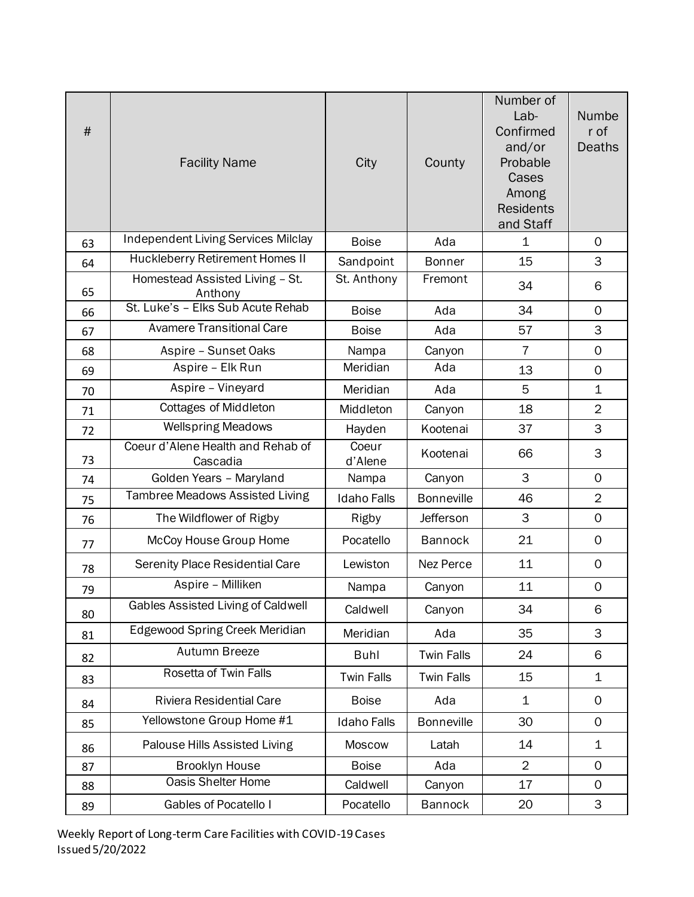| #  | <b>Facility Name</b>                          | City               | County            | Number of<br>Lab-<br>Confirmed<br>and/or<br>Probable<br>Cases<br>Among<br><b>Residents</b><br>and Staff | Numbe<br>r of<br><b>Deaths</b> |
|----|-----------------------------------------------|--------------------|-------------------|---------------------------------------------------------------------------------------------------------|--------------------------------|
| 63 | <b>Independent Living Services Milclay</b>    | <b>Boise</b>       | Ada               | $\mathbf 1$                                                                                             | $\mathbf 0$                    |
| 64 | Huckleberry Retirement Homes II               | Sandpoint          | <b>Bonner</b>     | 15                                                                                                      | 3                              |
| 65 | Homestead Assisted Living - St.<br>Anthony    | St. Anthony        | Fremont           | 34                                                                                                      | 6                              |
| 66 | St. Luke's - Elks Sub Acute Rehab             | <b>Boise</b>       | Ada               | 34                                                                                                      | $\Omega$                       |
| 67 | <b>Avamere Transitional Care</b>              | <b>Boise</b>       | Ada               | 57                                                                                                      | 3                              |
| 68 | Aspire - Sunset Oaks                          | Nampa              | Canyon            | $\overline{7}$                                                                                          | $\mathbf 0$                    |
| 69 | Aspire - Elk Run                              | Meridian           | Ada               | 13                                                                                                      | $\mathbf 0$                    |
| 70 | Aspire - Vineyard                             | Meridian           | Ada               | 5                                                                                                       | $\mathbf 1$                    |
| 71 | <b>Cottages of Middleton</b>                  | Middleton          | Canyon            | 18                                                                                                      | $\overline{2}$                 |
| 72 | <b>Wellspring Meadows</b>                     | Hayden             | Kootenai          | 37                                                                                                      | 3                              |
| 73 | Coeur d'Alene Health and Rehab of<br>Cascadia | Coeur<br>d'Alene   | Kootenai          | 66                                                                                                      | 3                              |
| 74 | Golden Years - Maryland                       | Nampa              | Canyon            | 3                                                                                                       | $\mathbf 0$                    |
| 75 | <b>Tambree Meadows Assisted Living</b>        | <b>Idaho Falls</b> | <b>Bonneville</b> | 46                                                                                                      | $\overline{2}$                 |
| 76 | The Wildflower of Rigby                       | Rigby              | Jefferson         | 3                                                                                                       | $\mathbf 0$                    |
| 77 | McCoy House Group Home                        | Pocatello          | <b>Bannock</b>    | 21                                                                                                      | $\mathbf 0$                    |
| 78 | <b>Serenity Place Residential Care</b>        | Lewiston           | Nez Perce         | 11                                                                                                      | $\mathbf 0$                    |
| 79 | Aspire - Milliken                             | Nampa              | Canyon            | 11                                                                                                      | $\mathsf{O}\xspace$            |
| 80 | <b>Gables Assisted Living of Caldwell</b>     | Caldwell           | Canyon            | 34                                                                                                      | 6                              |
| 81 | <b>Edgewood Spring Creek Meridian</b>         | Meridian           | Ada               | 35                                                                                                      | 3                              |
| 82 | Autumn Breeze                                 | <b>Buhl</b>        | <b>Twin Falls</b> | 24                                                                                                      | 6                              |
| 83 | <b>Rosetta of Twin Falls</b>                  | <b>Twin Falls</b>  | <b>Twin Falls</b> | 15                                                                                                      | 1                              |
| 84 | Riviera Residential Care                      | <b>Boise</b>       | Ada               | $\mathbf 1$                                                                                             | $\mathsf{O}$                   |
| 85 | Yellowstone Group Home #1                     | <b>Idaho Falls</b> | <b>Bonneville</b> | 30                                                                                                      | $\mathbf 0$                    |
| 86 | Palouse Hills Assisted Living                 | Moscow             | Latah             | 14                                                                                                      | 1                              |
| 87 | <b>Brooklyn House</b>                         | <b>Boise</b>       | Ada               | $\overline{2}$                                                                                          | $\Omega$                       |
| 88 | <b>Oasis Shelter Home</b>                     | Caldwell           | Canyon            | 17                                                                                                      | $\mathsf{O}$                   |
| 89 | Gables of Pocatello I                         | Pocatello          | <b>Bannock</b>    | 20                                                                                                      | 3                              |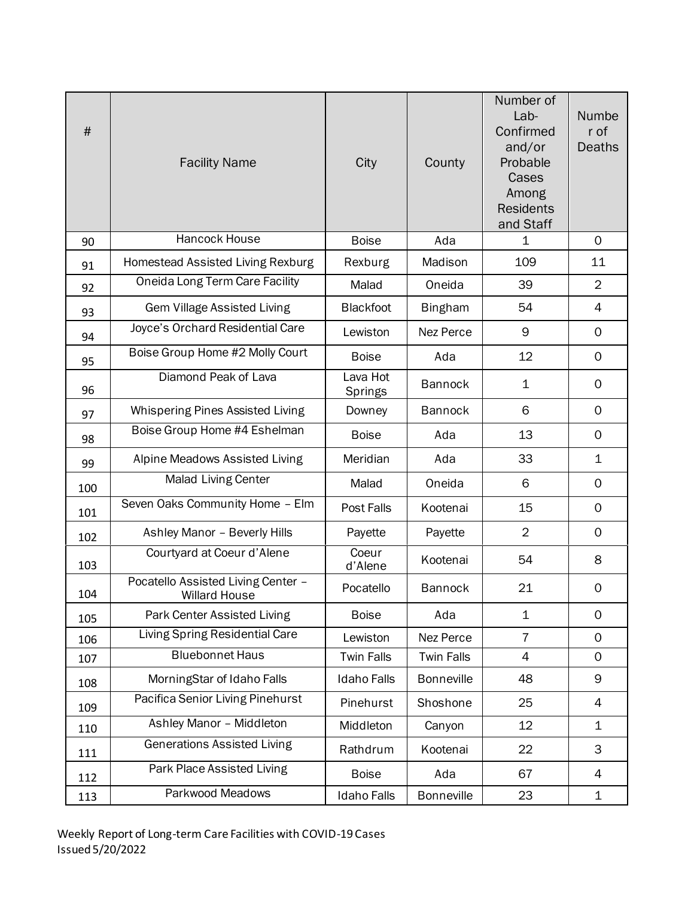| $\#$ | <b>Facility Name</b>                                | City                | County            | Number of<br>Lab-<br>Confirmed<br>and/or<br>Probable<br>Cases<br>Among<br><b>Residents</b><br>and Staff | Numbe<br>r of<br>Deaths |
|------|-----------------------------------------------------|---------------------|-------------------|---------------------------------------------------------------------------------------------------------|-------------------------|
| 90   | Hancock House                                       | <b>Boise</b>        | Ada               | 1                                                                                                       | $\mathbf 0$             |
| 91   | Homestead Assisted Living Rexburg                   | Rexburg             | Madison           | 109                                                                                                     | 11                      |
| 92   | Oneida Long Term Care Facility                      | Malad               | Oneida            | 39                                                                                                      | $\overline{2}$          |
| 93   | <b>Gem Village Assisted Living</b>                  | <b>Blackfoot</b>    | <b>Bingham</b>    | 54                                                                                                      | 4                       |
| 94   | Joyce's Orchard Residential Care                    | Lewiston            | Nez Perce         | 9                                                                                                       | $\mathbf 0$             |
| 95   | Boise Group Home #2 Molly Court                     | <b>Boise</b>        | Ada               | 12                                                                                                      | $\mathbf 0$             |
| 96   | Diamond Peak of Lava                                | Lava Hot<br>Springs | <b>Bannock</b>    | 1                                                                                                       | $\mathbf 0$             |
| 97   | Whispering Pines Assisted Living                    | Downey              | <b>Bannock</b>    | 6                                                                                                       | $\mathbf 0$             |
| 98   | Boise Group Home #4 Eshelman                        | <b>Boise</b>        | Ada               | 13                                                                                                      | $\mathbf 0$             |
| 99   | Alpine Meadows Assisted Living                      | Meridian            | Ada               | 33                                                                                                      | $\mathbf 1$             |
| 100  | <b>Malad Living Center</b>                          | Malad               | Oneida            | 6                                                                                                       | $\mathbf 0$             |
| 101  | Seven Oaks Community Home - Elm                     | Post Falls          | Kootenai          | 15                                                                                                      | $\mathbf 0$             |
| 102  | Ashley Manor - Beverly Hills                        | Payette             | Payette           | $\overline{2}$                                                                                          | $\mathbf 0$             |
| 103  | Courtyard at Coeur d'Alene                          | Coeur<br>d'Alene    | Kootenai          | 54                                                                                                      | 8                       |
| 104  | Pocatello Assisted Living Center -<br>Willard House | Pocatello           | <b>Bannock</b>    | 21                                                                                                      | $\mathbf 0$             |
| 105  | Park Center Assisted Living                         | <b>Boise</b>        | Ada               | $\mathbf 1$                                                                                             | $\mathsf{O}$            |
| 106  | <b>Living Spring Residential Care</b>               | Lewiston            | Nez Perce         | $\overline{7}$                                                                                          | $\mathbf 0$             |
| 107  | <b>Bluebonnet Haus</b>                              | <b>Twin Falls</b>   | <b>Twin Falls</b> | $\overline{4}$                                                                                          | $\mathbf 0$             |
| 108  | MorningStar of Idaho Falls                          | <b>Idaho Falls</b>  | <b>Bonneville</b> | 48                                                                                                      | $\mathsf 9$             |
| 109  | Pacifica Senior Living Pinehurst                    | Pinehurst           | Shoshone          | 25                                                                                                      | 4                       |
| 110  | Ashley Manor - Middleton                            | Middleton           | Canyon            | 12                                                                                                      | $\mathbf 1$             |
| 111  | <b>Generations Assisted Living</b>                  | Rathdrum            | Kootenai          | 22                                                                                                      | 3                       |
| 112  | Park Place Assisted Living                          | <b>Boise</b>        | Ada               | 67                                                                                                      | $\overline{4}$          |
| 113  | Parkwood Meadows                                    | <b>Idaho Falls</b>  | <b>Bonneville</b> | 23                                                                                                      | $\mathbf 1$             |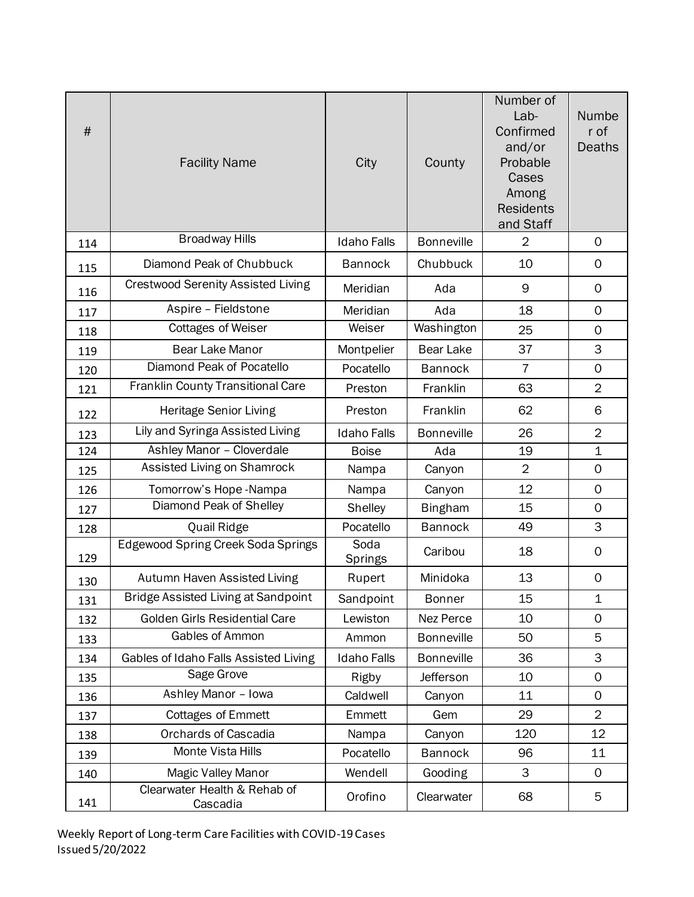| $\#$ | <b>Facility Name</b>                       | City               | County            | Number of<br>Lab-<br>Confirmed<br>and/or<br>Probable<br>Cases<br>Among<br><b>Residents</b><br>and Staff | Numbe<br>r of<br>Deaths |
|------|--------------------------------------------|--------------------|-------------------|---------------------------------------------------------------------------------------------------------|-------------------------|
| 114  | <b>Broadway Hills</b>                      | <b>Idaho Falls</b> | <b>Bonneville</b> | $\overline{2}$                                                                                          | $\mathbf 0$             |
| 115  | Diamond Peak of Chubbuck                   | <b>Bannock</b>     | Chubbuck          | 10                                                                                                      | $\mathbf 0$             |
| 116  | <b>Crestwood Serenity Assisted Living</b>  | Meridian           | Ada               | 9                                                                                                       | $\mathbf 0$             |
| 117  | Aspire - Fieldstone                        | Meridian           | Ada               | 18                                                                                                      | $\mathbf 0$             |
| 118  | <b>Cottages of Weiser</b>                  | Weiser             | Washington        | 25                                                                                                      | $\mathbf 0$             |
| 119  | <b>Bear Lake Manor</b>                     | Montpelier         | <b>Bear Lake</b>  | 37                                                                                                      | 3                       |
| 120  | Diamond Peak of Pocatello                  | Pocatello          | <b>Bannock</b>    | $\overline{7}$                                                                                          | $\mathsf{O}\xspace$     |
| 121  | Franklin County Transitional Care          | Preston            | Franklin          | 63                                                                                                      | $\overline{2}$          |
| 122  | Heritage Senior Living                     | Preston            | Franklin          | 62                                                                                                      | 6                       |
| 123  | Lily and Syringa Assisted Living           | <b>Idaho Falls</b> | <b>Bonneville</b> | 26                                                                                                      | $\overline{2}$          |
| 124  | Ashley Manor - Cloverdale                  | <b>Boise</b>       | Ada               | 19                                                                                                      | $\mathbf 1$             |
| 125  | Assisted Living on Shamrock                | Nampa              | Canyon            | $\overline{2}$                                                                                          | $\mathbf 0$             |
| 126  | Tomorrow's Hope-Nampa                      | Nampa              | Canyon            | 12                                                                                                      | $\mathbf 0$             |
| 127  | Diamond Peak of Shelley                    | Shelley            | <b>Bingham</b>    | 15                                                                                                      | $\mathbf 0$             |
| 128  | Quail Ridge                                | Pocatello          | <b>Bannock</b>    | 49                                                                                                      | 3                       |
| 129  | <b>Edgewood Spring Creek Soda Springs</b>  | Soda<br>Springs    | Caribou           | 18                                                                                                      | 0                       |
| 130  | Autumn Haven Assisted Living               | Rupert             | Minidoka          | 13                                                                                                      | 0                       |
| 131  | <b>Bridge Assisted Living at Sandpoint</b> | Sandpoint          | Bonner            | 15                                                                                                      | $\mathbf 1$             |
| 132  | Golden Girls Residential Care              | Lewiston           | Nez Perce         | 10                                                                                                      | 0                       |
| 133  | Gables of Ammon                            | Ammon              | <b>Bonneville</b> | 50                                                                                                      | 5                       |
| 134  | Gables of Idaho Falls Assisted Living      | <b>Idaho Falls</b> | <b>Bonneville</b> | 36                                                                                                      | 3                       |
| 135  | Sage Grove                                 | Rigby              | Jefferson         | 10                                                                                                      | $\mathbf 0$             |
| 136  | Ashley Manor - Iowa                        | Caldwell           | Canyon            | 11                                                                                                      | $\mathbf 0$             |
| 137  | <b>Cottages of Emmett</b>                  | Emmett             | Gem               | 29                                                                                                      | $\overline{2}$          |
| 138  | <b>Orchards of Cascadia</b>                | Nampa              | Canyon            | 120                                                                                                     | 12                      |
| 139  | Monte Vista Hills                          | Pocatello          | <b>Bannock</b>    | 96                                                                                                      | 11                      |
| 140  | Magic Valley Manor                         | Wendell            | Gooding           | 3                                                                                                       | $\mathbf 0$             |
| 141  | Clearwater Health & Rehab of<br>Cascadia   | Orofino            | Clearwater        | 68                                                                                                      | 5                       |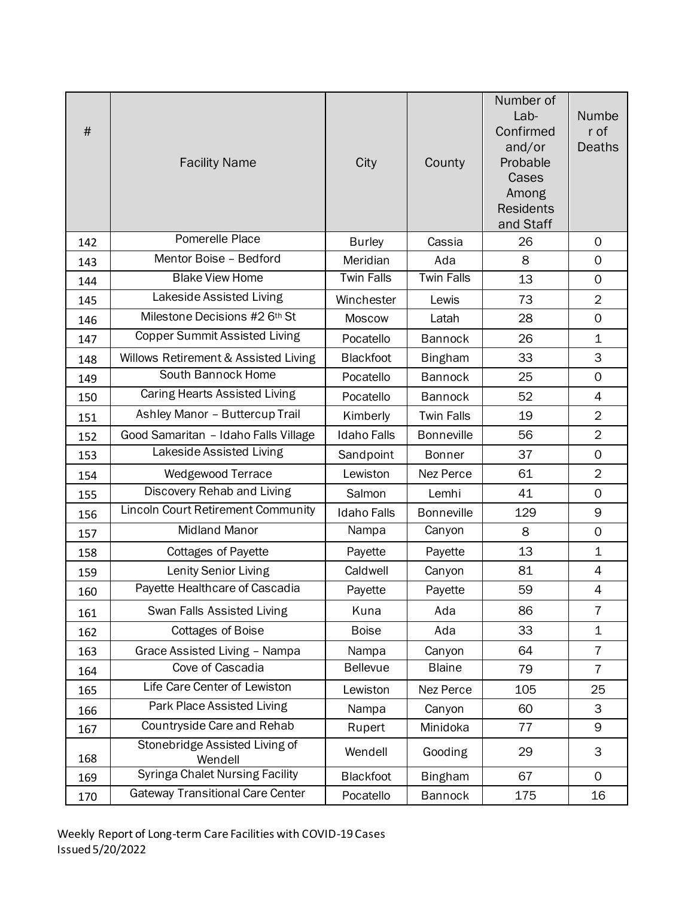| $\#$ | <b>Facility Name</b>                      | City               | County            | Number of<br>Lab-<br>Confirmed<br>and/or<br>Probable<br>Cases<br>Among<br><b>Residents</b><br>and Staff | Numbe<br>r of<br>Deaths |
|------|-------------------------------------------|--------------------|-------------------|---------------------------------------------------------------------------------------------------------|-------------------------|
| 142  | Pomerelle Place                           | <b>Burley</b>      | Cassia            | 26                                                                                                      | $\mathbf 0$             |
| 143  | Mentor Boise - Bedford                    | Meridian           | Ada               | 8                                                                                                       | $\mathbf 0$             |
| 144  | <b>Blake View Home</b>                    | <b>Twin Falls</b>  | <b>Twin Falls</b> | 13                                                                                                      | $\mathbf 0$             |
| 145  | Lakeside Assisted Living                  | Winchester         | Lewis             | 73                                                                                                      | $\overline{2}$          |
| 146  | Milestone Decisions #2 6th St             | Moscow             | Latah             | 28                                                                                                      | $\mathbf 0$             |
| 147  | <b>Copper Summit Assisted Living</b>      | Pocatello          | <b>Bannock</b>    | 26                                                                                                      | $\mathbf 1$             |
| 148  | Willows Retirement & Assisted Living      | <b>Blackfoot</b>   | <b>Bingham</b>    | 33                                                                                                      | 3                       |
| 149  | South Bannock Home                        | Pocatello          | <b>Bannock</b>    | 25                                                                                                      | $\mathbf 0$             |
| 150  | Caring Hearts Assisted Living             | Pocatello          | <b>Bannock</b>    | 52                                                                                                      | $\overline{4}$          |
| 151  | Ashley Manor - Buttercup Trail            | Kimberly           | <b>Twin Falls</b> | 19                                                                                                      | $\overline{2}$          |
| 152  | Good Samaritan - Idaho Falls Village      | <b>Idaho Falls</b> | <b>Bonneville</b> | 56                                                                                                      | $\overline{2}$          |
| 153  | Lakeside Assisted Living                  | Sandpoint          | <b>Bonner</b>     | 37                                                                                                      | $\mathbf 0$             |
| 154  | Wedgewood Terrace                         | Lewiston           | Nez Perce         | 61                                                                                                      | $\overline{2}$          |
| 155  | Discovery Rehab and Living                | Salmon             | Lemhi             | 41                                                                                                      | $\mathbf 0$             |
| 156  | <b>Lincoln Court Retirement Community</b> | <b>Idaho Falls</b> | <b>Bonneville</b> | 129                                                                                                     | 9                       |
| 157  | <b>Midland Manor</b>                      | Nampa              | Canyon            | 8                                                                                                       | $\mathsf{O}\xspace$     |
| 158  | <b>Cottages of Payette</b>                | Payette            | Payette           | 13                                                                                                      | $\mathbf 1$             |
| 159  | Lenity Senior Living                      | Caldwell           | Canyon            | 81                                                                                                      | 4                       |
| 160  | Payette Healthcare of Cascadia            | Payette            | Payette           | 59                                                                                                      | 4                       |
| 161  | Swan Falls Assisted Living                | Kuna               | Ada               | 86                                                                                                      | $\overline{7}$          |
| 162  | <b>Cottages of Boise</b>                  | <b>Boise</b>       | Ada               | 33                                                                                                      | $\mathbf 1$             |
| 163  | Grace Assisted Living - Nampa             | Nampa              | Canyon            | 64                                                                                                      | $\overline{7}$          |
| 164  | Cove of Cascadia                          | <b>Bellevue</b>    | <b>Blaine</b>     | 79                                                                                                      | $\overline{7}$          |
| 165  | Life Care Center of Lewiston              | Lewiston           | Nez Perce         | 105                                                                                                     | 25                      |
| 166  | Park Place Assisted Living                | Nampa              | Canyon            | 60                                                                                                      | 3                       |
| 167  | Countryside Care and Rehab                | Rupert             | Minidoka          | 77                                                                                                      | 9                       |
| 168  | Stonebridge Assisted Living of<br>Wendell | Wendell            | Gooding           | 29                                                                                                      | 3                       |
| 169  | <b>Syringa Chalet Nursing Facility</b>    | <b>Blackfoot</b>   | <b>Bingham</b>    | 67                                                                                                      | $\mathsf{O}$            |
| 170  | <b>Gateway Transitional Care Center</b>   | Pocatello          | <b>Bannock</b>    | 175                                                                                                     | 16                      |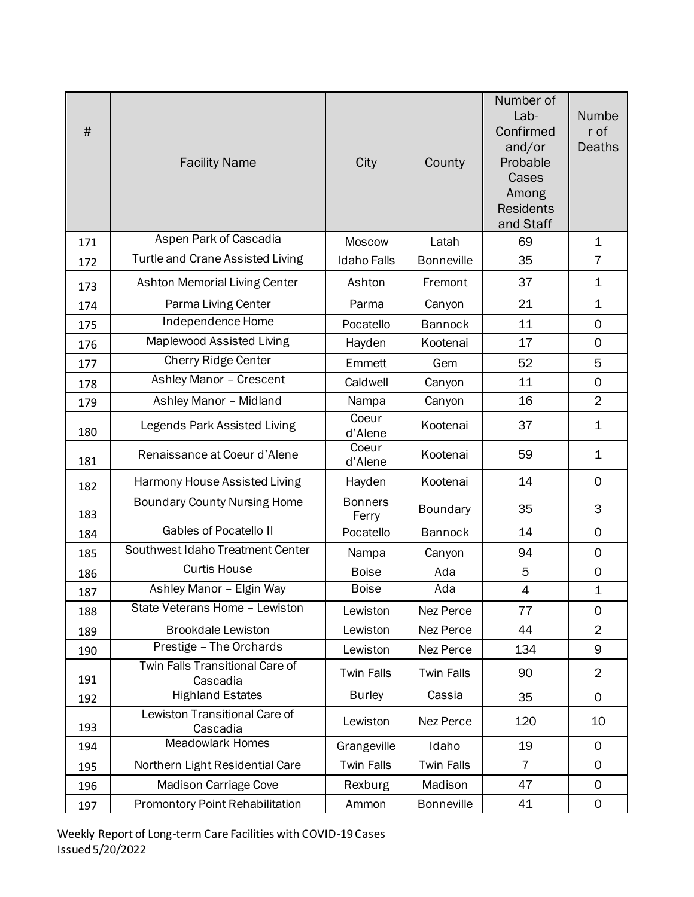| $\#$ | <b>Facility Name</b>                        | City                    | County            | Number of<br>Lab-<br>Confirmed<br>and/or<br>Probable<br>Cases<br>Among<br><b>Residents</b><br>and Staff | Numbe<br>r of<br><b>Deaths</b> |
|------|---------------------------------------------|-------------------------|-------------------|---------------------------------------------------------------------------------------------------------|--------------------------------|
| 171  | Aspen Park of Cascadia                      | <b>Moscow</b>           | Latah             | 69                                                                                                      | $\mathbf 1$                    |
| 172  | Turtle and Crane Assisted Living            | <b>Idaho Falls</b>      | <b>Bonneville</b> | 35                                                                                                      | 7                              |
| 173  | Ashton Memorial Living Center               | Ashton                  | Fremont           | 37                                                                                                      | $\mathbf 1$                    |
| 174  | Parma Living Center                         | Parma                   | Canyon            | 21                                                                                                      | $\mathbf 1$                    |
| 175  | Independence Home                           | Pocatello               | <b>Bannock</b>    | 11                                                                                                      | $\mathbf 0$                    |
| 176  | Maplewood Assisted Living                   | Hayden                  | Kootenai          | 17                                                                                                      | $\mathbf 0$                    |
| 177  | <b>Cherry Ridge Center</b>                  | Emmett                  | Gem               | 52                                                                                                      | 5                              |
| 178  | Ashley Manor - Crescent                     | Caldwell                | Canyon            | 11                                                                                                      | $\mathsf{O}\xspace$            |
| 179  | Ashley Manor - Midland                      | Nampa                   | Canyon            | 16                                                                                                      | $\overline{2}$                 |
| 180  | Legends Park Assisted Living                | Coeur<br>d'Alene        | Kootenai          | 37                                                                                                      | 1                              |
| 181  | Renaissance at Coeur d'Alene                | Coeur<br>d'Alene        | Kootenai          | 59                                                                                                      | 1                              |
| 182  | Harmony House Assisted Living               | Hayden                  | Kootenai          | 14                                                                                                      | $\mathbf 0$                    |
| 183  | <b>Boundary County Nursing Home</b>         | <b>Bonners</b><br>Ferry | <b>Boundary</b>   | 35                                                                                                      | 3                              |
| 184  | <b>Gables of Pocatello II</b>               | Pocatello               | <b>Bannock</b>    | 14                                                                                                      | $\mathbf 0$                    |
| 185  | Southwest Idaho Treatment Center            | Nampa                   | Canyon            | 94                                                                                                      | $\mathbf 0$                    |
| 186  | <b>Curtis House</b>                         | <b>Boise</b>            | Ada               | 5                                                                                                       | $\mathbf 0$                    |
| 187  | Ashley Manor - Elgin Way                    | <b>Boise</b>            | Ada               | 4                                                                                                       | $\mathbf 1$                    |
| 188  | State Veterans Home - Lewiston              | Lewiston                | Nez Perce         | 77                                                                                                      | $\mathsf{O}$                   |
| 189  | <b>Brookdale Lewiston</b>                   | Lewiston                | Nez Perce         | 44                                                                                                      | $\overline{2}$                 |
| 190  | Prestige - The Orchards                     | Lewiston                | Nez Perce         | 134                                                                                                     | 9                              |
| 191  | Twin Falls Transitional Care of<br>Cascadia | <b>Twin Falls</b>       | <b>Twin Falls</b> | 90                                                                                                      | $\overline{2}$                 |
| 192  | <b>Highland Estates</b>                     | <b>Burley</b>           | Cassia            | 35                                                                                                      | $\mathbf 0$                    |
| 193  | Lewiston Transitional Care of<br>Cascadia   | Lewiston                | Nez Perce         | 120                                                                                                     | 10                             |
| 194  | <b>Meadowlark Homes</b>                     | Grangeville             | Idaho             | 19                                                                                                      | $\mathsf{O}$                   |
| 195  | Northern Light Residential Care             | <b>Twin Falls</b>       | <b>Twin Falls</b> | $\overline{7}$                                                                                          | $\mathbf 0$                    |
| 196  | Madison Carriage Cove                       | Rexburg                 | Madison           | 47                                                                                                      | $\mathsf{O}$                   |
| 197  | Promontory Point Rehabilitation             | Ammon                   | <b>Bonneville</b> | 41                                                                                                      | $\mathbf 0$                    |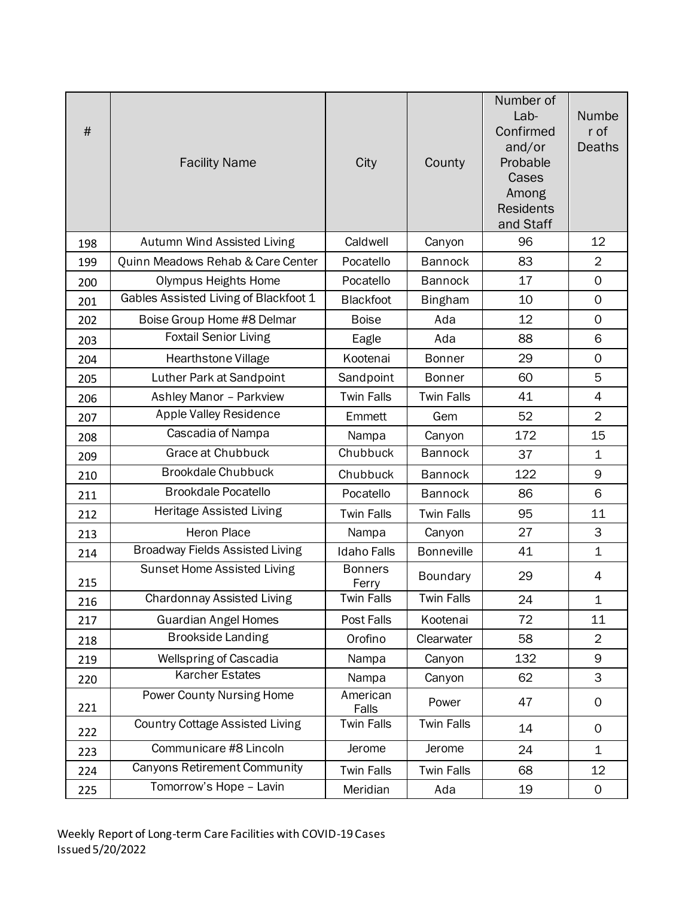| $\#$ | <b>Facility Name</b>                   | City                    | County            | Number of<br>Lab-<br>Confirmed<br>and/or<br>Probable<br>Cases<br>Among<br><b>Residents</b><br>and Staff | Numbe<br>r of<br><b>Deaths</b> |
|------|----------------------------------------|-------------------------|-------------------|---------------------------------------------------------------------------------------------------------|--------------------------------|
| 198  | Autumn Wind Assisted Living            | Caldwell                | Canyon            | 96                                                                                                      | 12                             |
| 199  | Quinn Meadows Rehab & Care Center      | Pocatello               | <b>Bannock</b>    | 83                                                                                                      | $\overline{2}$                 |
| 200  | <b>Olympus Heights Home</b>            | Pocatello               | <b>Bannock</b>    | 17                                                                                                      | $\mathbf 0$                    |
| 201  | Gables Assisted Living of Blackfoot 1  | <b>Blackfoot</b>        | <b>Bingham</b>    | 10                                                                                                      | $\mathbf 0$                    |
| 202  | Boise Group Home #8 Delmar             | <b>Boise</b>            | Ada               | 12                                                                                                      | $\mathbf 0$                    |
| 203  | <b>Foxtail Senior Living</b>           | Eagle                   | Ada               | 88                                                                                                      | 6                              |
| 204  | Hearthstone Village                    | Kootenai                | <b>Bonner</b>     | 29                                                                                                      | $\mathbf 0$                    |
| 205  | Luther Park at Sandpoint               | Sandpoint               | <b>Bonner</b>     | 60                                                                                                      | 5                              |
| 206  | Ashley Manor - Parkview                | <b>Twin Falls</b>       | <b>Twin Falls</b> | 41                                                                                                      | 4                              |
| 207  | Apple Valley Residence                 | Emmett                  | Gem               | 52                                                                                                      | $\overline{2}$                 |
| 208  | Cascadia of Nampa                      | Nampa                   | Canyon            | 172                                                                                                     | 15                             |
| 209  | <b>Grace at Chubbuck</b>               | Chubbuck                | <b>Bannock</b>    | 37                                                                                                      | $\mathbf 1$                    |
| 210  | <b>Brookdale Chubbuck</b>              | Chubbuck                | <b>Bannock</b>    | 122                                                                                                     | 9                              |
| 211  | <b>Brookdale Pocatello</b>             | Pocatello               | <b>Bannock</b>    | 86                                                                                                      | 6                              |
| 212  | Heritage Assisted Living               | <b>Twin Falls</b>       | <b>Twin Falls</b> | 95                                                                                                      | 11                             |
| 213  | <b>Heron Place</b>                     | Nampa                   | Canyon            | 27                                                                                                      | 3                              |
| 214  | <b>Broadway Fields Assisted Living</b> | <b>Idaho Falls</b>      | <b>Bonneville</b> | 41                                                                                                      | $\mathbf 1$                    |
| 215  | Sunset Home Assisted Living            | <b>Bonners</b><br>Ferry | Boundary          | 29                                                                                                      | 4                              |
| 216  | <b>Chardonnay Assisted Living</b>      | <b>Twin Falls</b>       | <b>Twin Falls</b> | 24                                                                                                      | 1                              |
| 217  | <b>Guardian Angel Homes</b>            | Post Falls              | Kootenai          | 72                                                                                                      | 11                             |
| 218  | <b>Brookside Landing</b>               | Orofino                 | Clearwater        | 58                                                                                                      | $\overline{2}$                 |
| 219  | Wellspring of Cascadia                 | Nampa                   | Canyon            | 132                                                                                                     | 9                              |
| 220  | <b>Karcher Estates</b>                 | Nampa                   | Canyon            | 62                                                                                                      | 3                              |
| 221  | Power County Nursing Home              | American<br>Falls       | Power             | 47                                                                                                      | 0                              |
| 222  | <b>Country Cottage Assisted Living</b> | <b>Twin Falls</b>       | <b>Twin Falls</b> | 14                                                                                                      | 0                              |
| 223  | Communicare #8 Lincoln                 | Jerome                  | Jerome            | 24                                                                                                      | $\mathbf 1$                    |
| 224  | <b>Canyons Retirement Community</b>    | <b>Twin Falls</b>       | <b>Twin Falls</b> | 68                                                                                                      | 12                             |
| 225  | Tomorrow's Hope - Lavin                | Meridian                | Ada               | 19                                                                                                      | $\mathbf 0$                    |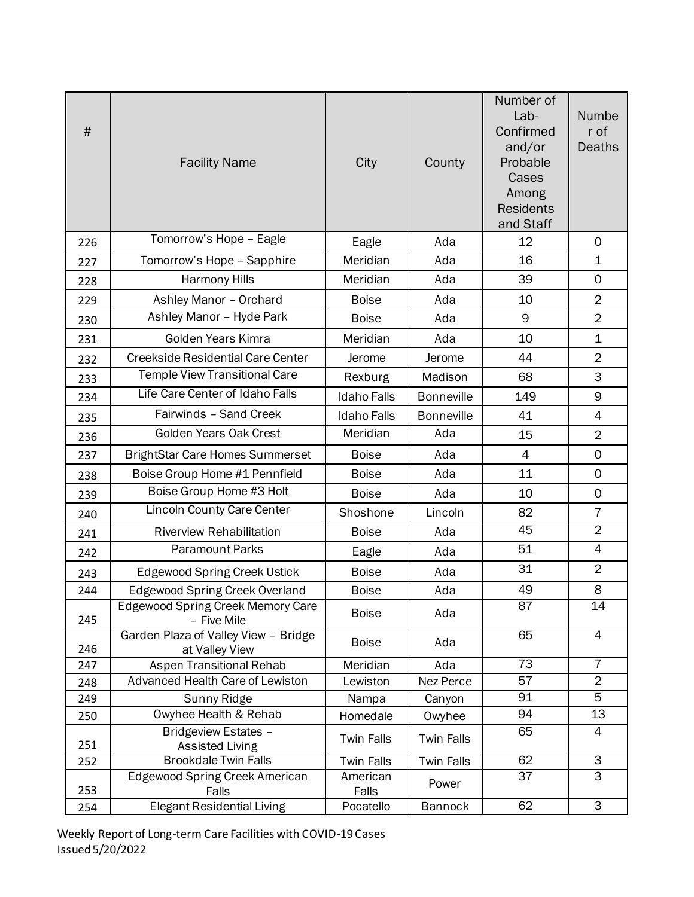| $\#$ | <b>Facility Name</b>                                    | City               | County            | Number of<br>Lab-<br>Confirmed<br>and/or<br>Probable<br>Cases<br>Among<br><b>Residents</b><br>and Staff | Numbe<br>r of<br>Deaths |
|------|---------------------------------------------------------|--------------------|-------------------|---------------------------------------------------------------------------------------------------------|-------------------------|
| 226  | Tomorrow's Hope - Eagle                                 | Eagle              | Ada               | 12                                                                                                      | $\mathbf 0$             |
| 227  | Tomorrow's Hope - Sapphire                              | Meridian           | Ada               | 16                                                                                                      | $\mathbf 1$             |
| 228  | Harmony Hills                                           | Meridian           | Ada               | 39                                                                                                      | $\mathbf 0$             |
| 229  | Ashley Manor - Orchard                                  | <b>Boise</b>       | Ada               | 10                                                                                                      | $\overline{2}$          |
| 230  | Ashley Manor - Hyde Park                                | <b>Boise</b>       | Ada               | 9                                                                                                       | $\overline{2}$          |
| 231  | Golden Years Kimra                                      | Meridian           | Ada               | 10                                                                                                      | $\mathbf 1$             |
| 232  | <b>Creekside Residential Care Center</b>                | Jerome             | Jerome            | 44                                                                                                      | $\overline{2}$          |
| 233  | Temple View Transitional Care                           | Rexburg            | Madison           | 68                                                                                                      | 3                       |
| 234  | Life Care Center of Idaho Falls                         | <b>Idaho Falls</b> | <b>Bonneville</b> | 149                                                                                                     | 9                       |
| 235  | Fairwinds - Sand Creek                                  | <b>Idaho Falls</b> | <b>Bonneville</b> | 41                                                                                                      | $\overline{4}$          |
| 236  | Golden Years Oak Crest                                  | Meridian           | Ada               | 15                                                                                                      | $\overline{2}$          |
| 237  | <b>BrightStar Care Homes Summerset</b>                  | <b>Boise</b>       | Ada               | $\overline{4}$                                                                                          | $\mathbf 0$             |
| 238  | Boise Group Home #1 Pennfield                           | <b>Boise</b>       | Ada               | 11                                                                                                      | $\mathsf{O}$            |
| 239  | Boise Group Home #3 Holt                                | <b>Boise</b>       | Ada               | 10                                                                                                      | $\mathbf 0$             |
| 240  | <b>Lincoln County Care Center</b>                       | Shoshone           | Lincoln           | 82                                                                                                      | $\overline{7}$          |
| 241  | <b>Riverview Rehabilitation</b>                         | <b>Boise</b>       | Ada               | 45                                                                                                      | $\overline{2}$          |
| 242  | <b>Paramount Parks</b>                                  | Eagle              | Ada               | 51                                                                                                      | $\overline{4}$          |
| 243  | <b>Edgewood Spring Creek Ustick</b>                     | <b>Boise</b>       | Ada               | 31                                                                                                      | $\overline{2}$          |
| 244  | <b>Edgewood Spring Creek Overland</b>                   | <b>Boise</b>       | Ada               | 49                                                                                                      | 8                       |
| 245  | <b>Edgewood Spring Creek Memory Care</b><br>- Five Mile | <b>Boise</b>       | Ada               | 87                                                                                                      | 14                      |
| 246  | Garden Plaza of Valley View - Bridge<br>at Valley View  | <b>Boise</b>       | Ada               | 65                                                                                                      | $\overline{4}$          |
| 247  | Aspen Transitional Rehab                                | Meridian           | Ada               | $\overline{73}$                                                                                         | $\overline{7}$          |
| 248  | Advanced Health Care of Lewiston                        | Lewiston           | Nez Perce         | 57                                                                                                      | $\overline{2}$          |
| 249  | Sunny Ridge                                             | Nampa              | Canyon            | 91                                                                                                      | $\overline{5}$          |
| 250  | Owyhee Health & Rehab                                   | Homedale           | Owyhee            | 94                                                                                                      | 13<br>4                 |
| 251  | Bridgeview Estates -<br><b>Assisted Living</b>          | <b>Twin Falls</b>  | <b>Twin Falls</b> | 65                                                                                                      |                         |
| 252  | <b>Brookdale Twin Falls</b>                             | <b>Twin Falls</b>  | <b>Twin Falls</b> | 62                                                                                                      | 3                       |
| 253  | <b>Edgewood Spring Creek American</b><br>Falls          | American<br>Falls  | Power             | 37                                                                                                      | 3                       |
| 254  | Elegant Residential Living                              | Pocatello          | <b>Bannock</b>    | 62                                                                                                      | 3                       |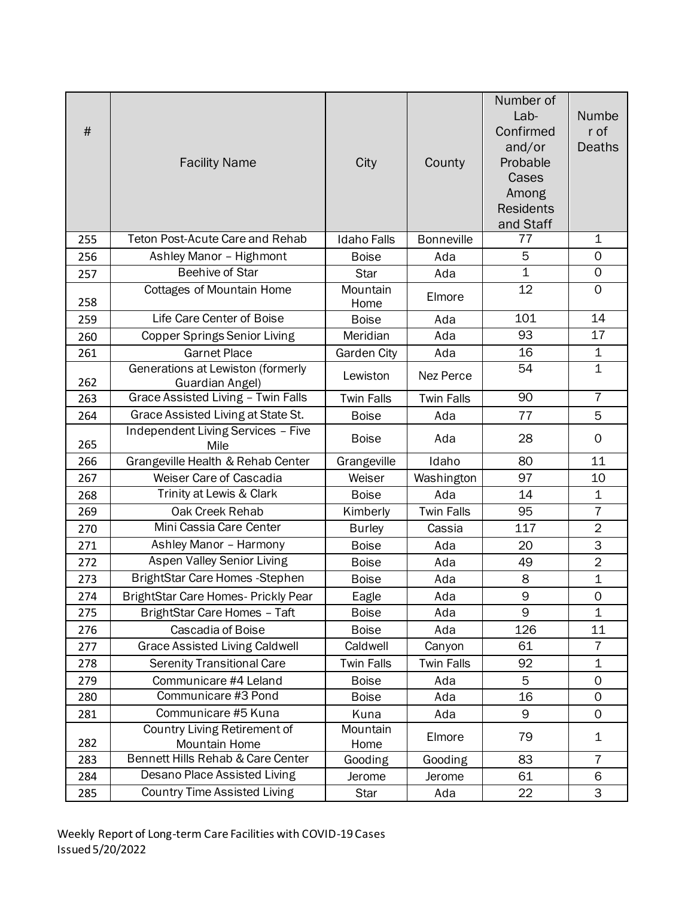| $\#$ | <b>Facility Name</b>                                 | City               | County            | Number of<br>$Lab-$<br>Confirmed<br>and/or<br>Probable<br>Cases<br>Among<br><b>Residents</b><br>and Staff | Numbe<br>r of<br><b>Deaths</b> |
|------|------------------------------------------------------|--------------------|-------------------|-----------------------------------------------------------------------------------------------------------|--------------------------------|
| 255  | <b>Teton Post-Acute Care and Rehab</b>               | <b>Idaho Falls</b> | <b>Bonneville</b> | 77                                                                                                        | $\mathbf 1$                    |
| 256  | Ashley Manor - Highmont                              | <b>Boise</b>       | Ada               | 5                                                                                                         | 0                              |
| 257  | <b>Beehive of Star</b>                               | <b>Star</b>        | Ada               | $\overline{1}$                                                                                            | $\mathbf 0$                    |
| 258  | <b>Cottages of Mountain Home</b>                     | Mountain<br>Home   | Elmore            | 12                                                                                                        | $\Omega$                       |
| 259  | Life Care Center of Boise                            | <b>Boise</b>       | Ada               | 101                                                                                                       | 14                             |
| 260  | <b>Copper Springs Senior Living</b>                  | Meridian           | Ada               | 93                                                                                                        | 17                             |
| 261  | <b>Garnet Place</b>                                  | <b>Garden City</b> | Ada               | $\overline{16}$                                                                                           | $\overline{1}$                 |
| 262  | Generations at Lewiston (formerly<br>Guardian Angel) | Lewiston           | Nez Perce         | 54                                                                                                        | $\mathbf 1$                    |
| 263  | Grace Assisted Living - Twin Falls                   | <b>Twin Falls</b>  | <b>Twin Falls</b> | 90                                                                                                        | $\overline{7}$                 |
| 264  | Grace Assisted Living at State St.                   | <b>Boise</b>       | Ada               | 77                                                                                                        | 5                              |
| 265  | Independent Living Services - Five<br>Mile           | <b>Boise</b>       | Ada               | 28                                                                                                        | 0                              |
| 266  | Grangeville Health & Rehab Center                    | Grangeville        | Idaho             | 80                                                                                                        | 11                             |
| 267  | Weiser Care of Cascadia                              | Weiser             | Washington        | 97                                                                                                        | 10                             |
| 268  | Trinity at Lewis & Clark                             | <b>Boise</b>       | Ada               | 14                                                                                                        | $\mathbf 1$                    |
| 269  | Oak Creek Rehab                                      | Kimberly           | <b>Twin Falls</b> | 95                                                                                                        | $\overline{7}$                 |
| 270  | Mini Cassia Care Center                              | <b>Burley</b>      | Cassia            | 117                                                                                                       | $\overline{2}$                 |
| 271  | Ashley Manor - Harmony                               | <b>Boise</b>       | Ada               | 20                                                                                                        | 3                              |
| 272  | Aspen Valley Senior Living                           | <b>Boise</b>       | Ada               | 49                                                                                                        | $\overline{2}$                 |
| 273  | BrightStar Care Homes - Stephen                      | <b>Boise</b>       | Ada               | 8                                                                                                         | $\overline{1}$                 |
| 274  | BrightStar Care Homes- Prickly Pear                  | Eagle              | Ada               | 9                                                                                                         | 0                              |
| 275  | BrightStar Care Homes - Taft                         | <b>Boise</b>       | Ada               | 9                                                                                                         | $\mathbf{1}$                   |
| 276  | Cascadia of Boise                                    | <b>Boise</b>       | Ada               | 126                                                                                                       | 11                             |
| 277  | <b>Grace Assisted Living Caldwell</b>                | Caldwell           | Canyon            | 61                                                                                                        | $\overline{7}$                 |
| 278  | <b>Serenity Transitional Care</b>                    | <b>Twin Falls</b>  | <b>Twin Falls</b> | 92                                                                                                        | $\mathbf 1$                    |
| 279  | Communicare #4 Leland                                | <b>Boise</b>       | Ada               | 5                                                                                                         | 0                              |
| 280  | Communicare #3 Pond                                  | <b>Boise</b>       | Ada               | 16                                                                                                        | 0                              |
| 281  | Communicare #5 Kuna                                  | Kuna               | Ada               | 9                                                                                                         | $\mathbf 0$                    |
| 282  | Country Living Retirement of<br>Mountain Home        | Mountain<br>Home   | Elmore            | 79                                                                                                        | 1                              |
| 283  | Bennett Hills Rehab & Care Center                    | Gooding            | Gooding           | 83                                                                                                        | $\overline{7}$                 |
| 284  | Desano Place Assisted Living                         | Jerome             | Jerome            | 61                                                                                                        | 6                              |
| 285  | <b>Country Time Assisted Living</b>                  | Star               | Ada               | 22                                                                                                        | 3                              |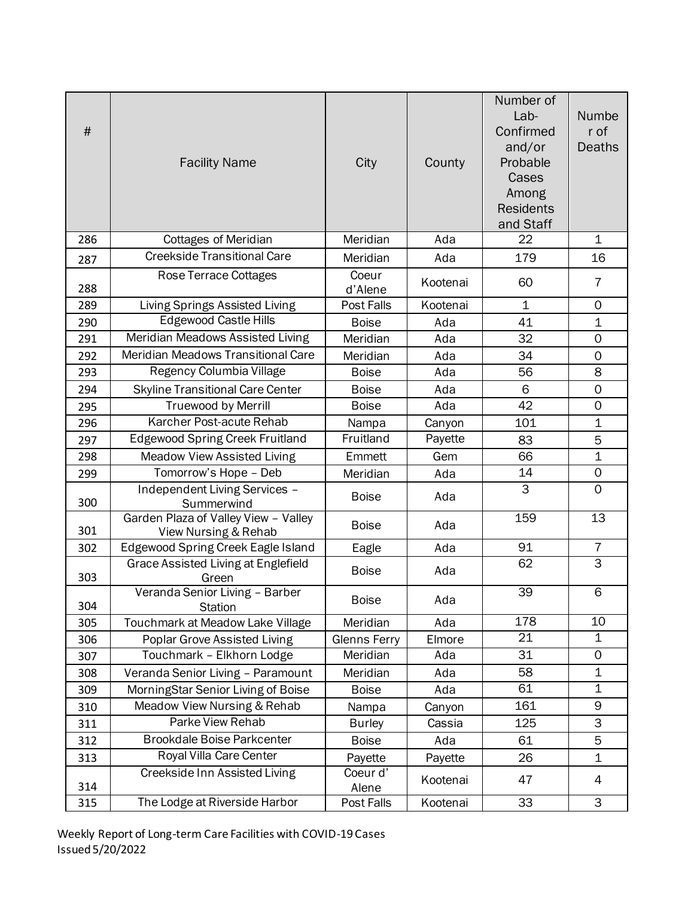|      |                                             |                     |          | Number of           |                     |
|------|---------------------------------------------|---------------------|----------|---------------------|---------------------|
|      |                                             |                     |          | Lab-                | Numbe               |
| $\#$ |                                             |                     |          | Confirmed           | r of                |
|      |                                             |                     |          | and/or              | Deaths              |
|      | <b>Facility Name</b>                        | City                | County   | Probable            |                     |
|      |                                             |                     |          | Cases               |                     |
|      |                                             |                     |          | Among               |                     |
|      |                                             |                     |          | <b>Residents</b>    |                     |
|      |                                             |                     |          | and Staff           |                     |
| 286  | <b>Cottages of Meridian</b>                 | Meridian            | Ada      | 22                  | $\mathbf 1$         |
| 287  | <b>Creekside Transitional Care</b>          | Meridian            | Ada      | 179                 | 16                  |
|      | Rose Terrace Cottages                       | Coeur               | Kootenai | 60                  | $\overline{7}$      |
| 288  |                                             | d'Alene             |          |                     |                     |
| 289  | Living Springs Assisted Living              | Post Falls          | Kootenai | $\mathbf 1$         | $\mathbf 0$         |
| 290  | <b>Edgewood Castle Hills</b>                | <b>Boise</b>        | Ada      | 41                  | $\mathbf 1$         |
| 291  | Meridian Meadows Assisted Living            | Meridian            | Ada      | 32                  | $\mathbf 0$         |
| 292  | Meridian Meadows Transitional Care          | Meridian            | Ada      | 34                  | $\mathbf 0$         |
| 293  | <b>Regency Columbia Village</b>             | <b>Boise</b>        | Ada      | 56                  | 8                   |
| 294  | <b>Skyline Transitional Care Center</b>     | <b>Boise</b>        | Ada      | 6                   | $\mathsf{O}\xspace$ |
| 295  | <b>Truewood by Merrill</b>                  | <b>Boise</b>        | Ada      | 42                  | $\overline{0}$      |
| 296  | Karcher Post-acute Rehab                    | Nampa               | Canyon   | 101                 | $\mathbf 1$         |
| 297  | <b>Edgewood Spring Creek Fruitland</b>      | Fruitland           | Payette  | 83                  | 5                   |
| 298  | Meadow View Assisted Living                 | Emmett              | Gem      | 66                  | $\overline{1}$      |
| 299  | Tomorrow's Hope - Deb                       | Meridian            | Ada      | 14                  | $\mathsf{O}\xspace$ |
| 300  | Independent Living Services -<br>Summerwind | <b>Boise</b>        | Ada      | $\overline{\omega}$ | $\mathbf 0$         |
|      | Garden Plaza of Valley View - Valley        |                     |          | $\overline{1}59$    | 13                  |
| 301  | View Nursing & Rehab                        | <b>Boise</b>        | Ada      |                     |                     |
| 302  | Edgewood Spring Creek Eagle Island          | Eagle               | Ada      | 91                  | $\overline{7}$      |
| 303  | <b>Grace Assisted Living at Englefield</b>  | <b>Boise</b>        | Ada      | 62                  | $\overline{3}$      |
|      | Green<br>Veranda Senior Living - Barber     |                     |          | 39                  | $\,6$               |
| 304  | <b>Station</b>                              | <b>Boise</b>        | Ada      |                     |                     |
| 305  | Touchmark at Meadow Lake Village            | Meridian            | Ada      | 178                 | 10                  |
| 306  | Poplar Grove Assisted Living                | <b>Glenns Ferry</b> | Elmore   | $\overline{21}$     | $\mathbf 1$         |
| 307  | Touchmark - Elkhorn Lodge                   | Meridian            | Ada      | 31                  | $\mathsf{O}$        |
| 308  | Veranda Senior Living - Paramount           | Meridian            | Ada      | 58                  | $\mathbf 1$         |
| 309  | MorningStar Senior Living of Boise          | <b>Boise</b>        | Ada      | 61                  | 1                   |
| 310  | Meadow View Nursing & Rehab                 | Nampa               | Canyon   | 161                 | $\mathsf 9$         |
| 311  | Parke View Rehab                            | <b>Burley</b>       | Cassia   | 125                 | 3                   |
| 312  | <b>Brookdale Boise Parkcenter</b>           | <b>Boise</b>        | Ada      | 61                  | 5                   |
| 313  | Royal Villa Care Center                     | Payette             | Payette  | 26                  | 1                   |
| 314  | Creekside Inn Assisted Living               | Coeur d'<br>Alene   | Kootenai | 47                  | 4                   |
| 315  | The Lodge at Riverside Harbor               | Post Falls          | Kootenai | 33                  | 3                   |